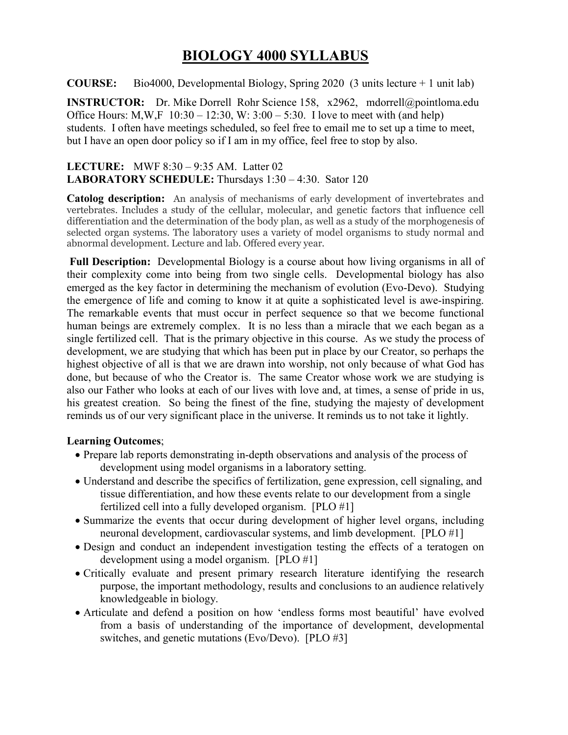# **BIOLOGY 4000 SYLLABUS**

**COURSE:** Bio4000, Developmental Biology, Spring 2020 (3 units lecture + 1 unit lab)

**INSTRUCTOR:** Dr. Mike Dorrell Rohr Science 158, x2962, mdorrell@pointloma.edu Office Hours: M,W,F  $10:30 - 12:30$ , W:  $3:00 - 5:30$ . I love to meet with (and help) students. I often have meetings scheduled, so feel free to email me to set up a time to meet, but I have an open door policy so if I am in my office, feel free to stop by also.

### **LECTURE:** MWF 8:30 – 9:35 AM. Latter 02 **LABORATORY SCHEDULE:** Thursdays 1:30 – 4:30. Sator 120

**Catolog description:** An analysis of mechanisms of early development of invertebrates and vertebrates. Includes a study of the cellular, molecular, and genetic factors that influence cell differentiation and the determination of the body plan, as well as a study of the morphogenesis of selected organ systems. The laboratory uses a variety of model organisms to study normal and abnormal development. Lecture and lab. Offered every year.

**Full Description:** Developmental Biology is a course about how living organisms in all of their complexity come into being from two single cells. Developmental biology has also emerged as the key factor in determining the mechanism of evolution (Evo-Devo). Studying the emergence of life and coming to know it at quite a sophisticated level is awe-inspiring. The remarkable events that must occur in perfect sequence so that we become functional human beings are extremely complex. It is no less than a miracle that we each began as a single fertilized cell. That is the primary objective in this course. As we study the process of development, we are studying that which has been put in place by our Creator, so perhaps the highest objective of all is that we are drawn into worship, not only because of what God has done, but because of who the Creator is. The same Creator whose work we are studying is also our Father who looks at each of our lives with love and, at times, a sense of pride in us, his greatest creation. So being the finest of the fine, studying the majesty of development reminds us of our very significant place in the universe. It reminds us to not take it lightly.

### **Learning Outcomes**;

- Prepare lab reports demonstrating in-depth observations and analysis of the process of development using model organisms in a laboratory setting.
- Understand and describe the specifics of fertilization, gene expression, cell signaling, and tissue differentiation, and how these events relate to our development from a single fertilized cell into a fully developed organism. [PLO #1]
- Summarize the events that occur during development of higher level organs, including neuronal development, cardiovascular systems, and limb development. [PLO #1]
- Design and conduct an independent investigation testing the effects of a teratogen on development using a model organism. [PLO #1]
- Critically evaluate and present primary research literature identifying the research purpose, the important methodology, results and conclusions to an audience relatively knowledgeable in biology.
- Articulate and defend a position on how 'endless forms most beautiful' have evolved from a basis of understanding of the importance of development, developmental switches, and genetic mutations (Evo/Devo). [PLO #3]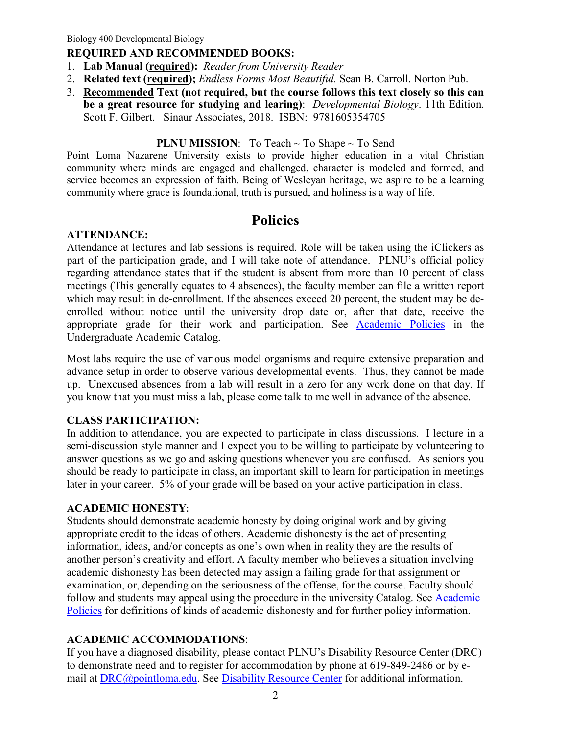### **REQUIRED AND RECOMMENDED BOOKS:**

- 1. **Lab Manual (required):** *Reader from University Reader*
- 2. **Related text (required);** *Endless Forms Most Beautiful.* Sean B. Carroll. Norton Pub.
- 3. **Recommended Text (not required, but the course follows this text closely so this can be a great resource for studying and learing)**: *Developmental Biology*. 11th Edition. Scott F. Gilbert. Sinaur Associates, 2018. ISBN: 9781605354705

#### **PLNU MISSION:** To Teach ~ To Shape ~ To Send

Point Loma Nazarene University exists to provide higher education in a vital Christian community where minds are engaged and challenged, character is modeled and formed, and service becomes an expression of faith. Being of Wesleyan heritage, we aspire to be a learning community where grace is foundational, truth is pursued, and holiness is a way of life.

# **Policies**

### **ATTENDANCE:**

Attendance at lectures and lab sessions is required. Role will be taken using the iClickers as part of the participation grade, and I will take note of attendance. PLNU's official policy regarding attendance states that if the student is absent from more than 10 percent of class meetings (This generally equates to 4 absences), the faculty member can file a written report which may result in de-enrollment. If the absences exceed 20 percent, the student may be deenrolled without notice until the university drop date or, after that date, receive the appropriate grade for their work and participation. See [Academic Policies](http://catalog.pointloma.edu/content.php?catoid=18&navoid=1278) in the Undergraduate Academic Catalog.

Most labs require the use of various model organisms and require extensive preparation and advance setup in order to observe various developmental events. Thus, they cannot be made up. Unexcused absences from a lab will result in a zero for any work done on that day. If you know that you must miss a lab, please come talk to me well in advance of the absence.

#### **CLASS PARTICIPATION:**

In addition to attendance, you are expected to participate in class discussions. I lecture in a semi-discussion style manner and I expect you to be willing to participate by volunteering to answer questions as we go and asking questions whenever you are confused. As seniors you should be ready to participate in class, an important skill to learn for participation in meetings later in your career. 5% of your grade will be based on your active participation in class.

#### **ACADEMIC HONESTY**:

Students should demonstrate academic honesty by doing original work and by giving appropriate credit to the ideas of others. Academic dishonesty is the act of presenting information, ideas, and/or concepts as one's own when in reality they are the results of another person's creativity and effort. A faculty member who believes a situation involving academic dishonesty has been detected may assign a failing grade for that assignment or examination, or, depending on the seriousness of the offense, for the course. Faculty should follow and students may appeal using the procedure in the university Catalog. See [Academic](http://catalog.pointloma.edu/content.php?catoid=18&navoid=1278)  [Policies](http://catalog.pointloma.edu/content.php?catoid=18&navoid=1278) for definitions of kinds of academic dishonesty and for further policy information.

### **ACADEMIC ACCOMMODATIONS**:

If you have a diagnosed disability, please contact PLNU's Disability Resource Center (DRC) to demonstrate need and to register for accommodation by phone at 619-849-2486 or by email at [DRC@pointloma.edu.](mailto:DRC@pointloma.edu) See [Disability Resource Center](http://www.pointloma.edu/experience/offices/administrative-offices/academic-advising-office/disability-resource-center) for additional information.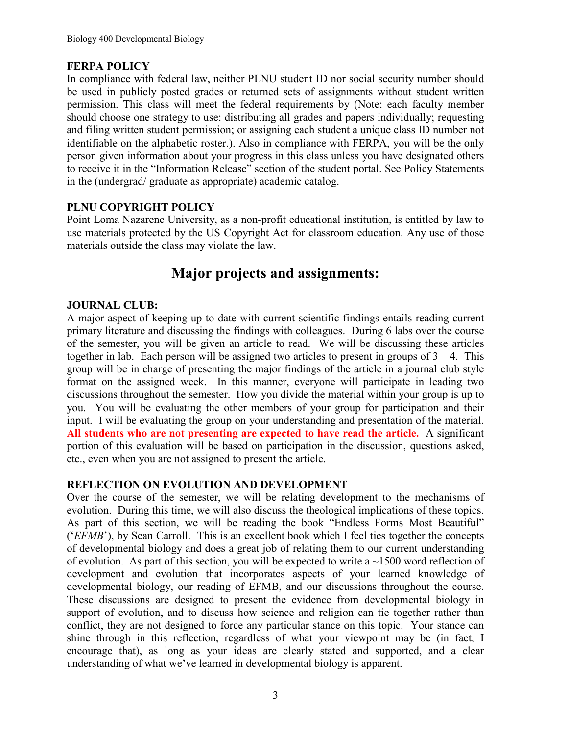## **FERPA POLICY**

In compliance with federal law, neither PLNU student ID nor social security number should be used in publicly posted grades or returned sets of assignments without student written permission. This class will meet the federal requirements by (Note: each faculty member should choose one strategy to use: distributing all grades and papers individually; requesting and filing written student permission; or assigning each student a unique class ID number not identifiable on the alphabetic roster.). Also in compliance with FERPA, you will be the only person given information about your progress in this class unless you have designated others to receive it in the "Information Release" section of the student portal. See Policy Statements in the (undergrad/ graduate as appropriate) academic catalog.

## **PLNU COPYRIGHT POLICY**

Point Loma Nazarene University, as a non-profit educational institution, is entitled by law to use materials protected by the US Copyright Act for classroom education. Any use of those materials outside the class may violate the law.

# **Major projects and assignments:**

### **JOURNAL CLUB:**

A major aspect of keeping up to date with current scientific findings entails reading current primary literature and discussing the findings with colleagues. During 6 labs over the course of the semester, you will be given an article to read. We will be discussing these articles together in lab. Each person will be assigned two articles to present in groups of  $3 - 4$ . This group will be in charge of presenting the major findings of the article in a journal club style format on the assigned week. In this manner, everyone will participate in leading two discussions throughout the semester. How you divide the material within your group is up to you. You will be evaluating the other members of your group for participation and their input. I will be evaluating the group on your understanding and presentation of the material. **All students who are not presenting are expected to have read the article.** A significant portion of this evaluation will be based on participation in the discussion, questions asked, etc., even when you are not assigned to present the article.

### **REFLECTION ON EVOLUTION AND DEVELOPMENT**

Over the course of the semester, we will be relating development to the mechanisms of evolution. During this time, we will also discuss the theological implications of these topics. As part of this section, we will be reading the book "Endless Forms Most Beautiful" ('*EFMB*'), by Sean Carroll. This is an excellent book which I feel ties together the concepts of developmental biology and does a great job of relating them to our current understanding of evolution. As part of this section, you will be expected to write a  $\sim$ 1500 word reflection of development and evolution that incorporates aspects of your learned knowledge of developmental biology, our reading of EFMB, and our discussions throughout the course. These discussions are designed to present the evidence from developmental biology in support of evolution, and to discuss how science and religion can tie together rather than conflict, they are not designed to force any particular stance on this topic. Your stance can shine through in this reflection, regardless of what your viewpoint may be (in fact, I encourage that), as long as your ideas are clearly stated and supported, and a clear understanding of what we've learned in developmental biology is apparent.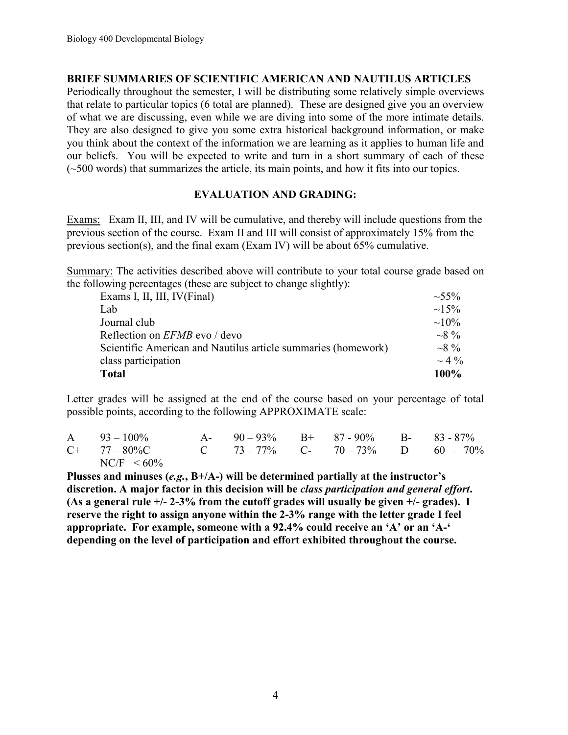### **BRIEF SUMMARIES OF SCIENTIFIC AMERICAN AND NAUTILUS ARTICLES**

Periodically throughout the semester, I will be distributing some relatively simple overviews that relate to particular topics (6 total are planned). These are designed give you an overview of what we are discussing, even while we are diving into some of the more intimate details. They are also designed to give you some extra historical background information, or make you think about the context of the information we are learning as it applies to human life and our beliefs. You will be expected to write and turn in a short summary of each of these (~500 words) that summarizes the article, its main points, and how it fits into our topics.

### **EVALUATION AND GRADING:**

Exams: Exam II, III, and IV will be cumulative, and thereby will include questions from the previous section of the course. Exam II and III will consist of approximately 15% from the previous section(s), and the final exam (Exam IV) will be about 65% cumulative.

Summary: The activities described above will contribute to your total course grade based on the following percentages (these are subject to change slightly):

| Exams I, II, III, IV(Final)                                   | $\sim 55\%$ |
|---------------------------------------------------------------|-------------|
| Lab                                                           | $\sim$ 15%  |
| Journal club                                                  | $\sim 10\%$ |
| Reflection on <i>EFMB</i> evo / devo                          | $\sim 8\%$  |
| Scientific American and Nautilus article summaries (homework) | $\sim 8\%$  |
| class participation                                           | $\sim$ 4 %  |
| <b>Total</b>                                                  | $100\%$     |

Letter grades will be assigned at the end of the course based on your percentage of total possible points, according to the following APPROXIMATE scale:

| $A = 93 - 100\%$                               | A- $90-93\%$ B+ $87-90\%$ B- $83-87\%$ |  |  |
|------------------------------------------------|----------------------------------------|--|--|
| $C+$ 77 – 80% C 73 – 77% C 70 – 73% D 60 – 70% |                                        |  |  |
| $NC/F < 60\%$                                  |                                        |  |  |

**Plusses and minuses (***e.g.***, B+/A-) will be determined partially at the instructor's discretion. A major factor in this decision will be** *class participation and general effort***. (As a general rule +/- 2-3% from the cutoff grades will usually be given +/- grades). I reserve the right to assign anyone within the 2-3% range with the letter grade I feel appropriate. For example, someone with a 92.4% could receive an 'A' or an 'A-' depending on the level of participation and effort exhibited throughout the course.**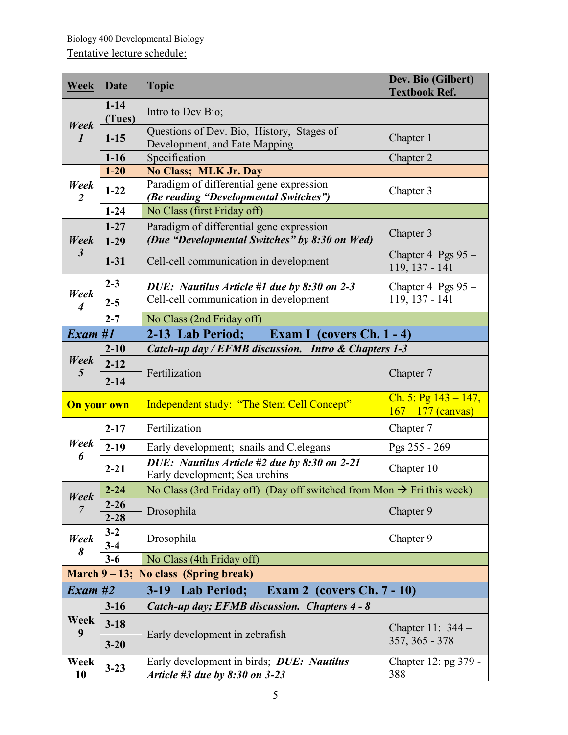| <b>Week</b>                                                | Date                                                          | <b>Topic</b>                                                                                 | Dev. Bio (Gilbert)<br><b>Textbook Ref.</b>      |  |
|------------------------------------------------------------|---------------------------------------------------------------|----------------------------------------------------------------------------------------------|-------------------------------------------------|--|
| Week<br>$\boldsymbol{l}$                                   | $1 - 14$<br>(Tues)                                            | Intro to Dev Bio;                                                                            |                                                 |  |
|                                                            | $1 - 15$                                                      | Questions of Dev. Bio, History, Stages of<br>Development, and Fate Mapping                   | Chapter 1                                       |  |
|                                                            | $1 - 16$                                                      | Specification                                                                                | Chapter 2                                       |  |
|                                                            | $1 - 20$                                                      | <b>No Class; MLK Jr. Day</b>                                                                 |                                                 |  |
| Week<br>$\overline{2}$                                     | $1-22$                                                        | Paradigm of differential gene expression<br>(Be reading "Developmental Switches")            | Chapter 3                                       |  |
|                                                            | $1 - 24$                                                      | No Class (first Friday off)                                                                  |                                                 |  |
|                                                            | $1 - 27$                                                      | Paradigm of differential gene expression                                                     | Chapter 3                                       |  |
| Week                                                       | $1-29$                                                        | (Due "Developmental Switches" by 8:30 on Wed)                                                |                                                 |  |
| $\boldsymbol{\beta}$                                       | $1 - 31$                                                      | Cell-cell communication in development                                                       | Chapter 4 Pgs $95 -$<br>119, 137 - 141          |  |
|                                                            | $2 - 3$                                                       | DUE: Nautilus Article #1 due by 8:30 on 2-3                                                  | Chapter 4 Pgs $95 -$                            |  |
| Week<br>$\overline{4}$                                     | $2 - 5$                                                       | Cell-cell communication in development                                                       | 119, 137 - 141                                  |  |
|                                                            | $2 - 7$                                                       | No Class (2nd Friday off)                                                                    |                                                 |  |
| Exam#1<br>2-13 Lab Period;<br>Exam I (covers $Ch. 1 - 4$ ) |                                                               |                                                                                              |                                                 |  |
|                                                            | $2 - 10$                                                      | Catch-up day / EFMB discussion. Intro & Chapters 1-3                                         |                                                 |  |
| Week                                                       | $2 - 12$                                                      |                                                                                              | Chapter 7                                       |  |
| 5                                                          | $2 - 14$                                                      | Fertilization                                                                                |                                                 |  |
| <b>On your own</b>                                         |                                                               | Independent study: "The Stem Cell Concept"                                                   | Ch. 5: Pg $143 - 147$ ,<br>$167 - 177$ (canvas) |  |
|                                                            | $2 - 17$                                                      | Fertilization                                                                                | Chapter 7                                       |  |
| Week                                                       | $2-19$                                                        | Early development; snails and C.elegans                                                      | Pgs 255 - 269                                   |  |
| 6                                                          | $2 - 21$                                                      | $\overline{DUE}$ : Nautilus Article #2 due by 8:30 on 2-21<br>Early development; Sea urchins | Chapter 10                                      |  |
|                                                            | $2 - 24$                                                      | No Class (3rd Friday off) (Day off switched from Mon $\rightarrow$ Fri this week)            |                                                 |  |
| Week<br>$\overline{7}$                                     | $2 - 26$                                                      | Drosophila                                                                                   |                                                 |  |
|                                                            | $2 - 28$                                                      |                                                                                              | Chapter 9                                       |  |
| Week                                                       | $3 - 2$                                                       | Drosophila                                                                                   | Chapter 9                                       |  |
| 8                                                          | $3-4$                                                         |                                                                                              |                                                 |  |
|                                                            | $3-6$                                                         | No Class (4th Friday off)                                                                    |                                                 |  |
| March $9 - 13$ ; No class (Spring break)                   |                                                               |                                                                                              |                                                 |  |
| $\boldsymbol{Exam}$ #2                                     | Exam 2 (covers $Ch. 7 - 10$ )<br>$3-19$<br><b>Lab Period;</b> |                                                                                              |                                                 |  |
| Week<br>9                                                  | $3-16$                                                        | Catch-up day; EFMB discussion. Chapters 4 - 8                                                |                                                 |  |
|                                                            | $3 - 18$                                                      |                                                                                              | Chapter 11: $344-$                              |  |
|                                                            | $3 - 20$                                                      | Early development in zebrafish                                                               | 357, 365 - 378                                  |  |
| Week<br>10                                                 | $3 - 23$                                                      | Early development in birds; DUE: Nautilus<br>Article #3 due by $8:30$ on $3-23$              | Chapter 12: pg 379 -<br>388                     |  |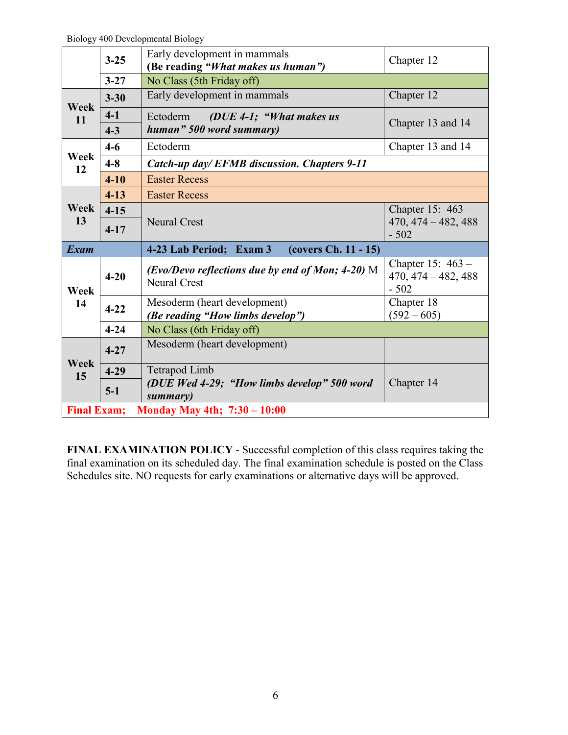Biology 400 Developmental Biology

|                                                                | $3 - 25$         | Early development in mammals<br>(Be reading "What makes us human")      | Chapter 12                                             |
|----------------------------------------------------------------|------------------|-------------------------------------------------------------------------|--------------------------------------------------------|
|                                                                | $3 - 27$         | No Class (5th Friday off)                                               |                                                        |
| Week<br>11                                                     | $3 - 30$         | Early development in mammals                                            | Chapter 12                                             |
|                                                                | $4-1$<br>$4 - 3$ | ( $DUE$ 4-1; "What makes us<br>Ectoderm<br>human" 500 word summary)     | Chapter 13 and 14                                      |
|                                                                | $4-6$            | Ectoderm                                                                | Chapter 13 and 14                                      |
| Week<br>$4 - 8$<br>12                                          |                  | Catch-up day/EFMB discussion. Chapters 9-11                             |                                                        |
|                                                                | $4 - 10$         | <b>Easter Recess</b>                                                    |                                                        |
|                                                                | $4 - 13$         | <b>Easter Recess</b>                                                    |                                                        |
| Week                                                           | $4 - 15$         |                                                                         | Chapter 15: $463-$                                     |
| 13                                                             | $4 - 17$         | <b>Neural Crest</b>                                                     | $470, 474 - 482, 488$<br>$-502$                        |
| <b>Exam</b><br>4-23 Lab Period; Exam 3<br>(covers Ch. 11 - 15) |                  |                                                                         |                                                        |
| Week<br>14                                                     | $4 - 20$         | (Evo/Devo reflections due by end of Mon; 4-20) M<br><b>Neural Crest</b> | Chapter 15: $463 -$<br>$470, 474 - 482, 488$<br>$-502$ |
|                                                                | $4 - 22$         | Mesoderm (heart development)<br>(Be reading "How limbs develop")        | Chapter 18<br>$(592 - 605)$                            |
|                                                                | $4 - 24$         | No Class (6th Friday off)                                               |                                                        |
| <b>Week</b><br>15                                              | $4 - 27$         | Mesoderm (heart development)                                            |                                                        |
|                                                                | $4 - 29$         | Tetrapod Limb                                                           |                                                        |
|                                                                | $5-1$            | (DUE Wed 4-29; "How limbs develop" 500 word<br>summary)                 | Chapter 14                                             |
| <b>Final Exam;</b><br>Monday May 4th; 7:30 - 10:00             |                  |                                                                         |                                                        |

**FINAL EXAMINATION POLICY** - Successful completion of this class requires taking the final examination on its scheduled day. The final examination schedule is posted on the Class Schedules site. NO requests for early examinations or alternative days will be approved.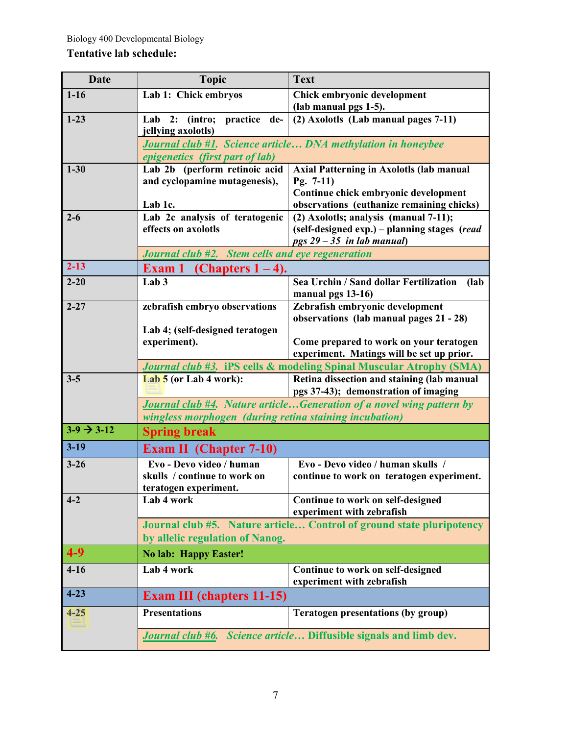## **Tentative lab schedule:**

| <b>Date</b>                               | <b>Topic</b>                                                                                                                   | <b>Text</b>                                                                          |  |
|-------------------------------------------|--------------------------------------------------------------------------------------------------------------------------------|--------------------------------------------------------------------------------------|--|
| $1 - 16$                                  | Lab 1: Chick embryos                                                                                                           | Chick embryonic development                                                          |  |
|                                           |                                                                                                                                | (lab manual pgs 1-5).                                                                |  |
| $1-23$                                    | Lab 2: (intro;<br>practice<br>de-<br>jellying axolotls)                                                                        | (2) Axolotls (Lab manual pages 7-11)                                                 |  |
|                                           |                                                                                                                                | <b>Journal club #1. Science article DNA methylation in honeybee</b>                  |  |
| $1 - 30$                                  | <i>epigenetics (first part of lab)</i><br>Lab 2b (perform retinoic acid                                                        | <b>Axial Patterning in Axolotls (lab manual</b>                                      |  |
|                                           | and cyclopamine mutagenesis),                                                                                                  | Pg. $7-11$ )                                                                         |  |
|                                           | Lab 1c.                                                                                                                        | Continue chick embryonic development<br>observations (euthanize remaining chicks)    |  |
| Lab 2c analysis of teratogenic<br>$2 - 6$ |                                                                                                                                | (2) Axolotls; analysis (manual 7-11);                                                |  |
|                                           | effects on axolotls                                                                                                            | (self-designed exp.) - planning stages (read<br>$pgs 29 - 35$ in lab manual)         |  |
|                                           | <b>Journal club <math>\sharp 2</math>.</b> Stem cells and eye regeneration                                                     |                                                                                      |  |
| $2 - 13$                                  | Exam 1 (Chapters $1-4$ ).                                                                                                      |                                                                                      |  |
| $2 - 20$                                  | Lab <sub>3</sub>                                                                                                               | Sea Urchin / Sand dollar Fertilization<br>(lab)<br>manual pgs 13-16)                 |  |
| $2 - 27$                                  | zebrafish embryo observations                                                                                                  | Zebrafish embryonic development<br>observations (lab manual pages 21 - 28)           |  |
|                                           | Lab 4; (self-designed teratogen                                                                                                |                                                                                      |  |
|                                           | experiment).                                                                                                                   | Come prepared to work on your teratogen<br>experiment. Matings will be set up prior. |  |
|                                           |                                                                                                                                | Journal club #3. iPS cells & modeling Spinal Muscular Atrophy (SMA)                  |  |
| $3 - 5$                                   | Lab 5 (or Lab 4 work):                                                                                                         | Retina dissection and staining (lab manual<br>pgs 37-43); demonstration of imaging   |  |
|                                           | Journal club #4. Nature articleGeneration of a novel wing pattern by<br>wingless morphogen (during retina staining incubation) |                                                                                      |  |
| $3-9 \rightarrow 3-12$                    | <b>Spring break</b>                                                                                                            |                                                                                      |  |
| $3-19$                                    | <b>Exam II</b> (Chapter 7-10)                                                                                                  |                                                                                      |  |
| $3 - 26$                                  | Evo - Devo video / human                                                                                                       | Evo - Devo video / human skulls /                                                    |  |
|                                           | skulls / continue to work on                                                                                                   | continue to work on teratogen experiment.                                            |  |
| $4 - 2$                                   | teratogen experiment.<br>Lab 4 work                                                                                            |                                                                                      |  |
|                                           |                                                                                                                                | Continue to work on self-designed<br>experiment with zebrafish                       |  |
|                                           | Journal club #5. Nature article Control of ground state pluripotency                                                           |                                                                                      |  |
|                                           | by allelic regulation of Nanog.                                                                                                |                                                                                      |  |
| $4 - 9$                                   | <b>No lab: Happy Easter!</b>                                                                                                   |                                                                                      |  |
| $4-16$                                    | Lab 4 work                                                                                                                     | Continue to work on self-designed<br>experiment with zebrafish                       |  |
| $4 - 23$                                  | <b>Exam III (chapters 11-15)</b>                                                                                               |                                                                                      |  |
| $4 - 25$                                  | <b>Presentations</b>                                                                                                           | <b>Teratogen presentations (by group)</b>                                            |  |
|                                           | Journal club #6. Science article Diffusible signals and limb dev.                                                              |                                                                                      |  |